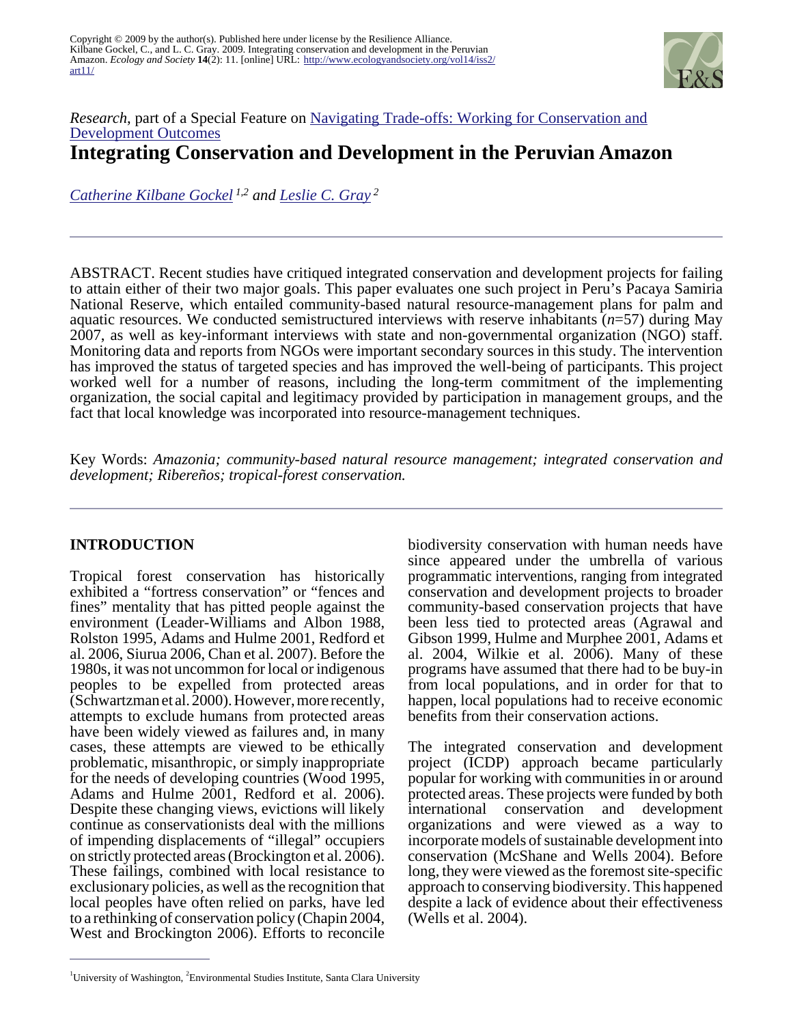

### *Research*, part of a Special Feature on [Navigating Trade-offs: Working for Conservation and](http://www.ecologyandsociety.org/viewissue.php?sf=26) [Development Outcomes](http://www.ecologyandsociety.org/viewissue.php?sf=26) **Integrating Conservation and Development in the Peruvian Amazon**

*[Catherine Kilbane Gockel](mailto:catherine.kilbane@fulbrightmail.org) 1,2 and [Leslie C. Gray](mailto:lcgray@scu.edu)<sup>2</sup>*

ABSTRACT. Recent studies have critiqued integrated conservation and development projects for failing to attain either of their two major goals. This paper evaluates one such project in Peru's Pacaya Samiria National Reserve, which entailed community-based natural resource-management plans for palm and aquatic resources. We conducted semistructured interviews with reserve inhabitants (*n*=57) during May 2007, as well as key-informant interviews with state and non-governmental organization (NGO) staff. Monitoring data and reports from NGOs were important secondary sources in this study. The intervention has improved the status of targeted species and has improved the well-being of participants. This project worked well for a number of reasons, including the long-term commitment of the implementing organization, the social capital and legitimacy provided by participation in management groups, and the fact that local knowledge was incorporated into resource-management techniques.

Key Words: *Amazonia; community-based natural resource management; integrated conservation and development; Ribereños; tropical-forest conservation.*

### **INTRODUCTION**

Tropical forest conservation has historically exhibited a "fortress conservation" or "fences and fines" mentality that has pitted people against the environment (Leader-Williams and Albon 1988, Rolston 1995, Adams and Hulme 2001, Redford et al. 2006, Siurua 2006, Chan et al. 2007). Before the 1980s, it was not uncommon for local or indigenous peoples to be expelled from protected areas (Schwartzman et al. 2000). However, more recently, attempts to exclude humans from protected areas have been widely viewed as failures and, in many cases, these attempts are viewed to be ethically problematic, misanthropic, or simply inappropriate for the needs of developing countries (Wood 1995, Adams and Hulme 2001, Redford et al. 2006). Despite these changing views, evictions will likely continue as conservationists deal with the millions of impending displacements of "illegal" occupiers on strictly protected areas (Brockington et al. 2006). These failings, combined with local resistance to exclusionary policies, as well as the recognition that local peoples have often relied on parks, have led to a rethinking of conservation policy (Chapin 2004, West and Brockington 2006). Efforts to reconcile

biodiversity conservation with human needs have since appeared under the umbrella of various programmatic interventions, ranging from integrated conservation and development projects to broader community-based conservation projects that have been less tied to protected areas (Agrawal and Gibson 1999, Hulme and Murphee 2001, Adams et al. 2004, Wilkie et al. 2006). Many of these programs have assumed that there had to be buy-in from local populations, and in order for that to happen, local populations had to receive economic benefits from their conservation actions.

The integrated conservation and development project (ICDP) approach became particularly popular for working with communities in or around protected areas. These projects were funded by both international conservation and development organizations and were viewed as a way to incorporate models of sustainable development into conservation (McShane and Wells 2004). Before long, they were viewed as the foremost site-specific approach to conserving biodiversity. This happened despite a lack of evidence about their effectiveness (Wells et al. 2004).

<sup>&</sup>lt;sup>1</sup>University of Washington, <sup>2</sup>Environmental Studies Institute, Santa Clara University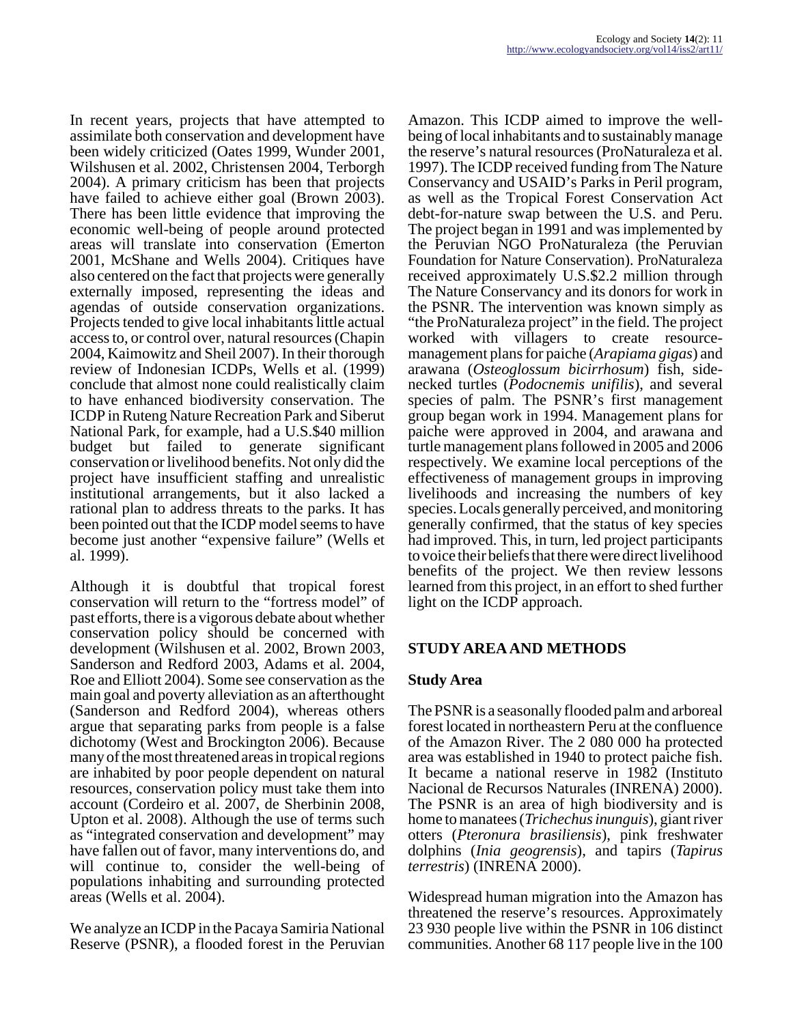In recent years, projects that have attempted to assimilate both conservation and development have been widely criticized (Oates 1999, Wunder 2001, Wilshusen et al. 2002, Christensen 2004, Terborgh 2004). A primary criticism has been that projects have failed to achieve either goal (Brown 2003). There has been little evidence that improving the economic well-being of people around protected areas will translate into conservation (Emerton 2001, McShane and Wells 2004). Critiques have also centered on the fact that projects were generally externally imposed, representing the ideas and agendas of outside conservation organizations. Projects tended to give local inhabitants little actual access to, or control over, natural resources (Chapin 2004, Kaimowitz and Sheil 2007). In their thorough review of Indonesian ICDPs, Wells et al. (1999) conclude that almost none could realistically claim to have enhanced biodiversity conservation. The ICDP in Ruteng Nature Recreation Park and Siberut National Park, for example, had a U.S.\$40 million budget but failed to generate significant conservation or livelihood benefits. Not only did the project have insufficient staffing and unrealistic institutional arrangements, but it also lacked a rational plan to address threats to the parks. It has been pointed out that the ICDP model seems to have become just another "expensive failure" (Wells et al. 1999).

Although it is doubtful that tropical forest conservation will return to the "fortress model" of past efforts, there is a vigorous debate about whether conservation policy should be concerned with development (Wilshusen et al. 2002, Brown 2003, Sanderson and Redford 2003, Adams et al. 2004, Roe and Elliott 2004). Some see conservation as the main goal and poverty alleviation as an afterthought (Sanderson and Redford 2004), whereas others argue that separating parks from people is a false dichotomy (West and Brockington 2006). Because many of the most threatened areas in tropical regions are inhabited by poor people dependent on natural resources, conservation policy must take them into account (Cordeiro et al. 2007, de Sherbinin 2008, Upton et al. 2008). Although the use of terms such as "integrated conservation and development" may have fallen out of favor, many interventions do, and will continue to, consider the well-being of populations inhabiting and surrounding protected areas (Wells et al. 2004).

We analyze an ICDP in the Pacaya Samiria National Reserve (PSNR), a flooded forest in the Peruvian Amazon. This ICDP aimed to improve the wellbeing of local inhabitants and to sustainably manage the reserve's natural resources (ProNaturaleza et al. 1997). The ICDP received funding from The Nature Conservancy and USAID's Parks in Peril program, as well as the Tropical Forest Conservation Act debt-for-nature swap between the U.S. and Peru. The project began in 1991 and was implemented by the Peruvian NGO ProNaturaleza (the Peruvian Foundation for Nature Conservation). ProNaturaleza received approximately U.S.\$2.2 million through The Nature Conservancy and its donors for work in the PSNR. The intervention was known simply as "the ProNaturaleza project" in the field. The project worked with villagers to create resourcemanagement plans for paiche (*Arapiama gigas*) and arawana (*Osteoglossum bicirrhosum*) fish, sidenecked turtles (*Podocnemis unifilis*), and several species of palm. The PSNR's first management group began work in 1994. Management plans for paiche were approved in 2004, and arawana and turtle management plans followed in 2005 and 2006 respectively. We examine local perceptions of the effectiveness of management groups in improving livelihoods and increasing the numbers of key species. Locals generally perceived, and monitoring generally confirmed, that the status of key species had improved. This, in turn, led project participants to voice their beliefs that there were direct livelihood benefits of the project. We then review lessons learned from this project, in an effort to shed further light on the ICDP approach.

# **STUDY AREA AND METHODS**

### **Study Area**

The PSNR is a seasonally flooded palm and arboreal forest located in northeastern Peru at the confluence of the Amazon River. The 2 080 000 ha protected area was established in 1940 to protect paiche fish. It became a national reserve in 1982 (Instituto Nacional de Recursos Naturales (INRENA) 2000). The PSNR is an area of high biodiversity and is home to manatees (*Trichechus inunguis*), giant river otters (*Pteronura brasiliensis*), pink freshwater dolphins (*Inia geogrensis*), and tapirs (*Tapirus terrestris*) (INRENA 2000).

Widespread human migration into the Amazon has threatened the reserve's resources. Approximately 23 930 people live within the PSNR in 106 distinct communities. Another 68 117 people live in the 100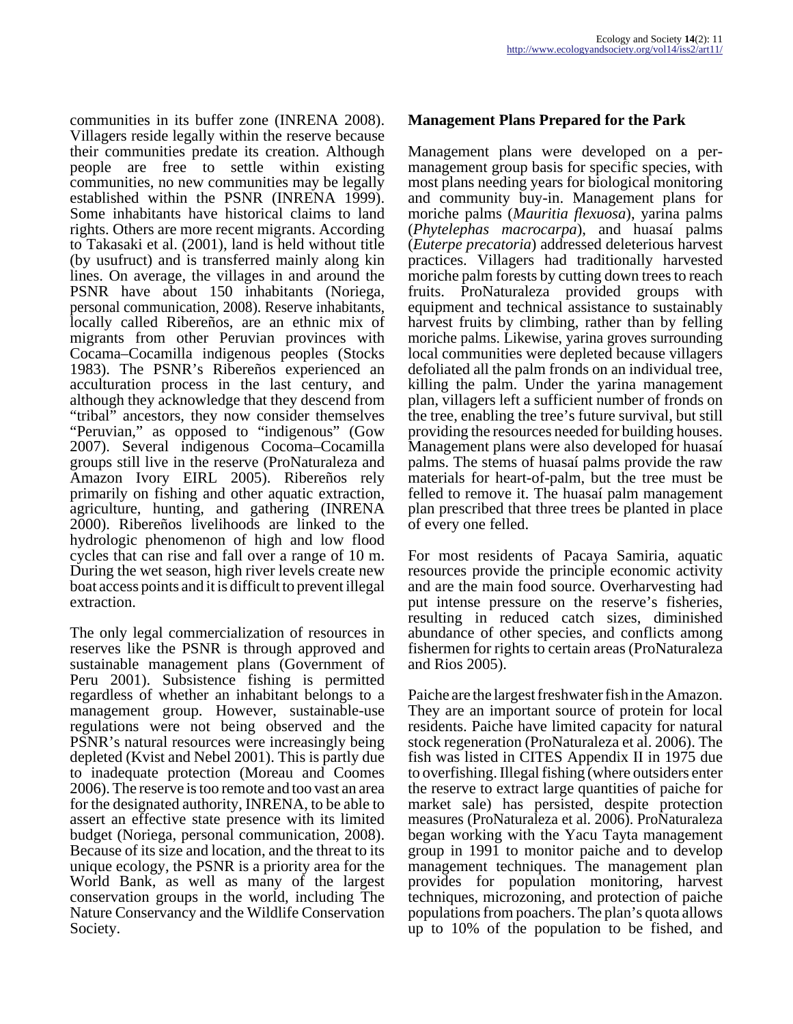communities in its buffer zone (INRENA 2008). Villagers reside legally within the reserve because their communities predate its creation. Although people are free to settle within existing communities, no new communities may be legally established within the PSNR (INRENA 1999). Some inhabitants have historical claims to land rights. Others are more recent migrants. According to Takasaki et al. (2001), land is held without title (by usufruct) and is transferred mainly along kin lines. On average, the villages in and around the PSNR have about 150 inhabitants (Noriega, personal communication, 2008). Reserve inhabitants, locally called Ribereños, are an ethnic mix of migrants from other Peruvian provinces with Cocama–Cocamilla indigenous peoples (Stocks 1983). The PSNR's Ribereños experienced an acculturation process in the last century, and although they acknowledge that they descend from "tribal" ancestors, they now consider themselves "Peruvian," as opposed to "indigenous" (Gow 2007). Several indigenous Cocoma–Cocamilla groups still live in the reserve (ProNaturaleza and Amazon Ivory EIRL 2005). Ribereños rely primarily on fishing and other aquatic extraction, agriculture, hunting, and gathering (INRENA 2000). Ribereños livelihoods are linked to the hydrologic phenomenon of high and low flood cycles that can rise and fall over a range of 10 m. During the wet season, high river levels create new boat access points and it is difficult to prevent illegal extraction.

The only legal commercialization of resources in reserves like the PSNR is through approved and sustainable management plans (Government of Peru 2001). Subsistence fishing is permitted regardless of whether an inhabitant belongs to a management group. However, sustainable-use regulations were not being observed and the PSNR's natural resources were increasingly being depleted (Kvist and Nebel 2001). This is partly due to inadequate protection (Moreau and Coomes 2006). The reserve is too remote and too vast an area for the designated authority, INRENA, to be able to assert an effective state presence with its limited budget (Noriega, personal communication, 2008). Because of its size and location, and the threat to its unique ecology, the PSNR is a priority area for the World Bank, as well as many of the largest conservation groups in the world, including The Nature Conservancy and the Wildlife Conservation Society.

#### **Management Plans Prepared for the Park**

Management plans were developed on a permanagement group basis for specific species, with most plans needing years for biological monitoring and community buy-in. Management plans for moriche palms (*Mauritia flexuosa*), yarina palms (*Phytelephas macrocarpa*), and huasaí palms (*Euterpe precatoria*) addressed deleterious harvest practices. Villagers had traditionally harvested moriche palm forests by cutting down trees to reach fruits. ProNaturaleza provided groups with equipment and technical assistance to sustainably harvest fruits by climbing, rather than by felling moriche palms. Likewise, yarina groves surrounding local communities were depleted because villagers defoliated all the palm fronds on an individual tree, killing the palm. Under the yarina management plan, villagers left a sufficient number of fronds on the tree, enabling the tree's future survival, but still providing the resources needed for building houses. Management plans were also developed for huasaí palms. The stems of huasaí palms provide the raw materials for heart-of-palm, but the tree must be felled to remove it. The huasaí palm management plan prescribed that three trees be planted in place of every one felled.

For most residents of Pacaya Samiria, aquatic resources provide the principle economic activity and are the main food source. Overharvesting had put intense pressure on the reserve's fisheries, resulting in reduced catch sizes, diminished abundance of other species, and conflicts among fishermen for rights to certain areas (ProNaturaleza and Rios 2005).

Paiche are the largest freshwater fish in the Amazon. They are an important source of protein for local residents. Paiche have limited capacity for natural stock regeneration (ProNaturaleza et al. 2006). The fish was listed in CITES Appendix II in 1975 due to overfishing. Illegal fishing (where outsiders enter the reserve to extract large quantities of paiche for market sale) has persisted, despite protection measures (ProNaturaleza et al. 2006). ProNaturaleza began working with the Yacu Tayta management group in 1991 to monitor paiche and to develop management techniques. The management plan provides for population monitoring, harvest techniques, microzoning, and protection of paiche populations from poachers. The plan's quota allows up to 10% of the population to be fished, and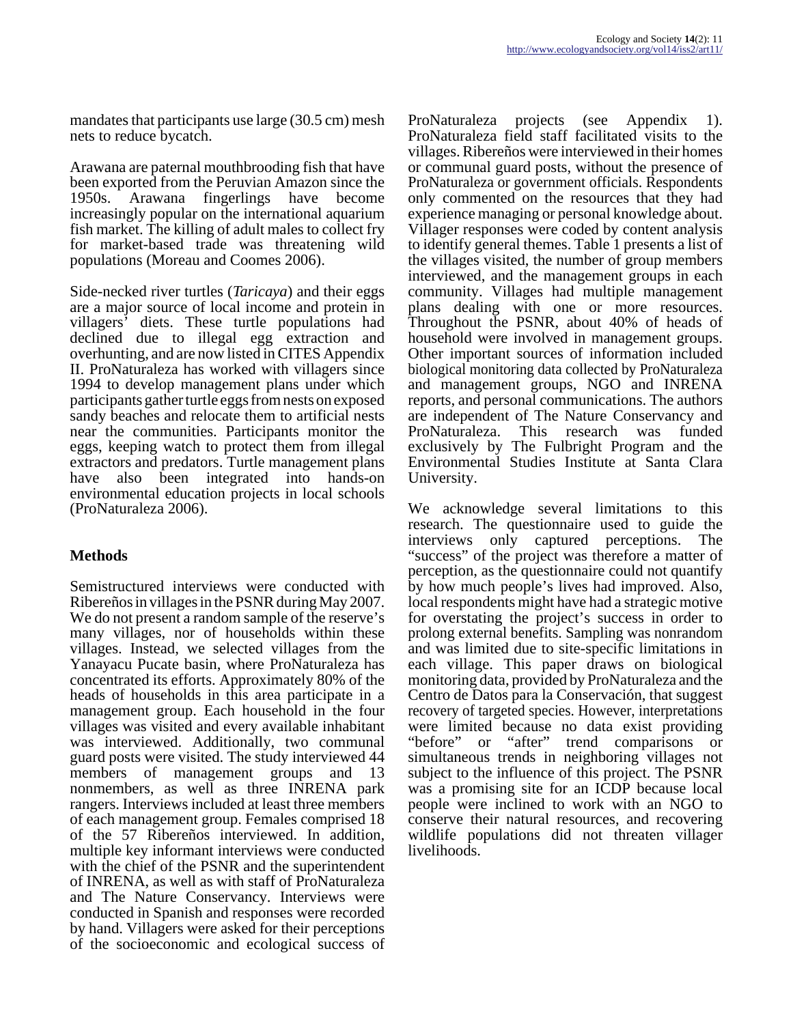mandates that participants use large (30.5 cm) mesh nets to reduce bycatch.

Arawana are paternal mouthbrooding fish that have been exported from the Peruvian Amazon since the 1950s. Arawana fingerlings have become increasingly popular on the international aquarium fish market. The killing of adult males to collect fry for market-based trade was threatening wild populations (Moreau and Coomes 2006).

Side-necked river turtles (*Taricaya*) and their eggs are a major source of local income and protein in villagers' diets. These turtle populations had declined due to illegal egg extraction and overhunting, and are now listed in CITES Appendix II. ProNaturaleza has worked with villagers since 1994 to develop management plans under which participants gather turtle eggs from nests on exposed sandy beaches and relocate them to artificial nests near the communities. Participants monitor the eggs, keeping watch to protect them from illegal extractors and predators. Turtle management plans have also been integrated into hands-on environmental education projects in local schools (ProNaturaleza 2006).

# **Methods**

Semistructured interviews were conducted with Ribereños in villages in the PSNR during May 2007. We do not present a random sample of the reserve's many villages, nor of households within these villages. Instead, we selected villages from the Yanayacu Pucate basin, where ProNaturaleza has concentrated its efforts. Approximately 80% of the heads of households in this area participate in a management group. Each household in the four villages was visited and every available inhabitant was interviewed. Additionally, two communal guard posts were visited. The study interviewed 44 members of management groups and 13 nonmembers, as well as three INRENA park rangers. Interviews included at least three members of each management group. Females comprised 18 of the 57 Ribereños interviewed. In addition, multiple key informant interviews were conducted with the chief of the PSNR and the superintendent of INRENA, as well as with staff of ProNaturaleza and The Nature Conservancy. Interviews were conducted in Spanish and responses were recorded by hand. Villagers were asked for their perceptions of the socioeconomic and ecological success of ProNaturaleza projects (see Appendix 1). ProNaturaleza field staff facilitated visits to the villages. Ribereños were interviewed in their homes or communal guard posts, without the presence of ProNaturaleza or government officials. Respondents only commented on the resources that they had experience managing or personal knowledge about. Villager responses were coded by content analysis to identify general themes. Table 1 presents a list of the villages visited, the number of group members interviewed, and the management groups in each community. Villages had multiple management plans dealing with one or more resources. Throughout the PSNR, about 40% of heads of household were involved in management groups. Other important sources of information included biological monitoring data collected by ProNaturaleza and management groups, NGO and INRENA reports, and personal communications. The authors are independent of The Nature Conservancy and ProNaturaleza. This research was funded exclusively by The Fulbright Program and the Environmental Studies Institute at Santa Clara University.

We acknowledge several limitations to this research. The questionnaire used to guide the interviews only captured perceptions. The "success" of the project was therefore a matter of perception, as the questionnaire could not quantify by how much people's lives had improved. Also, local respondents might have had a strategic motive for overstating the project's success in order to prolong external benefits. Sampling was nonrandom and was limited due to site-specific limitations in each village. This paper draws on biological monitoring data, provided by ProNaturaleza and the Centro de Datos para la Conservación, that suggest recovery of targeted species. However, interpretations were limited because no data exist providing<br>"before" or "after" trend comparisons or or "after" trend comparisons or simultaneous trends in neighboring villages not subject to the influence of this project. The PSNR was a promising site for an ICDP because local people were inclined to work with an NGO to conserve their natural resources, and recovering wildlife populations did not threaten villager livelihoods.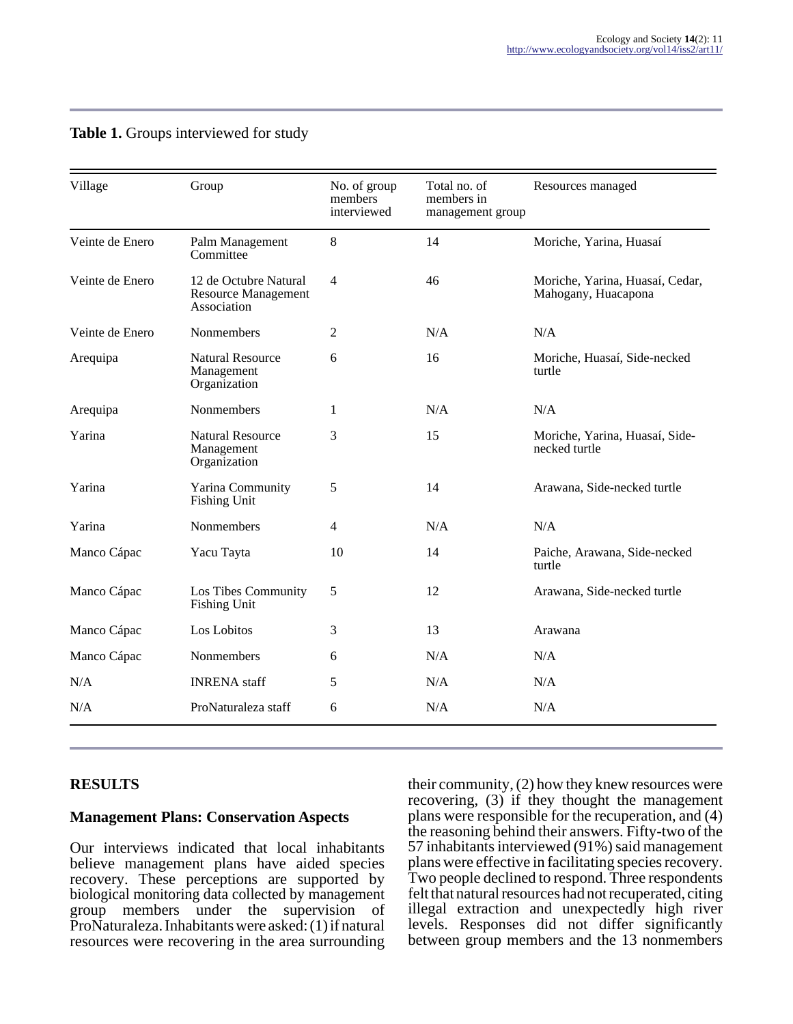| Village         | Group                                                              | No. of group<br>members<br>interviewed | Total no. of<br>members in<br>management group | Resources managed                                      |
|-----------------|--------------------------------------------------------------------|----------------------------------------|------------------------------------------------|--------------------------------------------------------|
| Veinte de Enero | Palm Management<br>Committee                                       | 8                                      | 14                                             | Moriche, Yarina, Huasaí                                |
| Veinte de Enero | 12 de Octubre Natural<br><b>Resource Management</b><br>Association | 4                                      | 46                                             | Moriche, Yarina, Huasaí, Cedar,<br>Mahogany, Huacapona |
| Veinte de Enero | Nonmembers                                                         | 2                                      | N/A                                            | N/A                                                    |
| Arequipa        | <b>Natural Resource</b><br>Management<br>Organization              | 6                                      | 16                                             | Moriche, Huasaí, Side-necked<br>turtle                 |
| Arequipa        | <b>Nonmembers</b>                                                  | 1                                      | N/A                                            | N/A                                                    |
| Yarina          | <b>Natural Resource</b><br>Management<br>Organization              | 3                                      | 15                                             | Moriche, Yarina, Huasaí, Side-<br>necked turtle        |
| Yarina          | Yarina Community<br><b>Fishing Unit</b>                            | 5                                      | 14                                             | Arawana, Side-necked turtle                            |
| Yarina          | <b>Nonmembers</b>                                                  | 4                                      | N/A                                            | N/A                                                    |
| Manco Cápac     | Yacu Tayta                                                         | 10                                     | 14                                             | Paiche, Arawana, Side-necked<br>turtle                 |
| Manco Cápac     | Los Tibes Community<br><b>Fishing Unit</b>                         | 5                                      | 12                                             | Arawana, Side-necked turtle                            |
| Manco Cápac     | Los Lobitos                                                        | 3                                      | 13                                             | Arawana                                                |
| Manco Cápac     | <b>Nonmembers</b>                                                  | 6                                      | N/A                                            | N/A                                                    |
| N/A             | <b>INRENA</b> staff                                                | 5                                      | N/A                                            | N/A                                                    |
| N/A             | ProNaturaleza staff                                                | 6                                      | N/A                                            | N/A                                                    |

## **Table 1.** Groups interviewed for study

### **RESULTS**

#### **Management Plans: Conservation Aspects**

Our interviews indicated that local inhabitants believe management plans have aided species recovery. These perceptions are supported by biological monitoring data collected by management group members under the supervision of ProNaturaleza. Inhabitants were asked: (1) if natural resources were recovering in the area surrounding

their community, (2) how they knew resources were recovering, (3) if they thought the management plans were responsible for the recuperation, and (4) the reasoning behind their answers. Fifty-two of the 57 inhabitants interviewed (91%) said management plans were effective in facilitating species recovery. Two people declined to respond. Three respondents felt that natural resources had not recuperated, citing illegal extraction and unexpectedly high river levels. Responses did not differ significantly between group members and the 13 nonmembers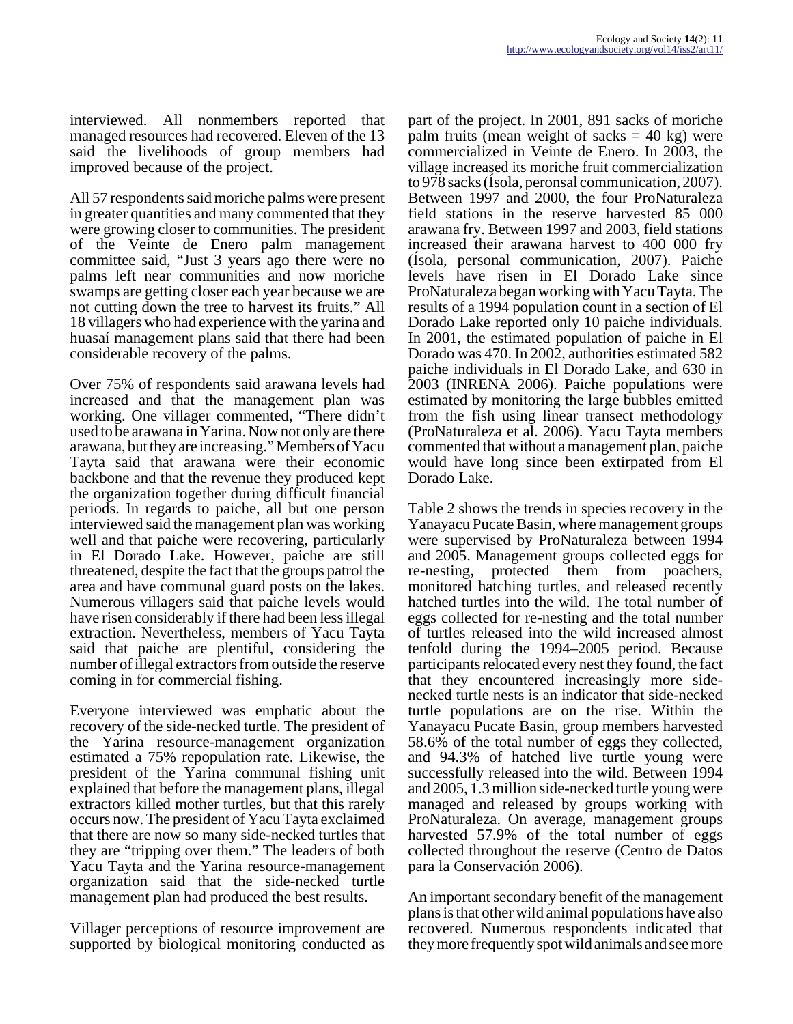interviewed. All nonmembers reported that managed resources had recovered. Eleven of the 13 said the livelihoods of group members had improved because of the project.

All 57 respondents said moriche palms were present in greater quantities and many commented that they were growing closer to communities. The president of the Veinte de Enero palm management committee said, "Just 3 years ago there were no palms left near communities and now moriche swamps are getting closer each year because we are not cutting down the tree to harvest its fruits." All 18 villagers who had experience with the yarina and huasaí management plans said that there had been considerable recovery of the palms.

Over 75% of respondents said arawana levels had increased and that the management plan was working. One villager commented, "There didn't used to be arawana in Yarina. Now not only are there arawana, but they are increasing." Members of Yacu Tayta said that arawana were their economic backbone and that the revenue they produced kept the organization together during difficult financial periods. In regards to paiche, all but one person interviewed said the management plan was working well and that paiche were recovering, particularly in El Dorado Lake. However, paiche are still threatened, despite the fact that the groups patrol the area and have communal guard posts on the lakes. Numerous villagers said that paiche levels would have risen considerably if there had been less illegal extraction. Nevertheless, members of Yacu Tayta said that paiche are plentiful, considering the number of illegal extractors from outside the reserve coming in for commercial fishing.

Everyone interviewed was emphatic about the recovery of the side-necked turtle. The president of the Yarina resource-management organization estimated a 75% repopulation rate. Likewise, the president of the Yarina communal fishing unit explained that before the management plans, illegal extractors killed mother turtles, but that this rarely occurs now. The president of Yacu Tayta exclaimed that there are now so many side-necked turtles that they are "tripping over them." The leaders of both Yacu Tayta and the Yarina resource-management organization said that the side-necked turtle management plan had produced the best results.

Villager perceptions of resource improvement are supported by biological monitoring conducted as part of the project. In 2001, 891 sacks of moriche palm fruits (mean weight of sacks  $= 40 \text{ kg}$ ) were commercialized in Veinte de Enero. In 2003, the village increased its moriche fruit commercialization to 978 sacks (Ísola, peronsal communication, 2007). Between 1997 and 2000, the four ProNaturaleza field stations in the reserve harvested 85 000 arawana fry. Between 1997 and 2003, field stations increased their arawana harvest to 400 000 fry (Ísola, personal communication, 2007). Paiche levels have risen in El Dorado Lake since ProNaturaleza began working with Yacu Tayta. The results of a 1994 population count in a section of El Dorado Lake reported only 10 paiche individuals. In 2001, the estimated population of paiche in El Dorado was 470. In 2002, authorities estimated 582 paiche individuals in El Dorado Lake, and 630 in 2003 (INRENA 2006). Paiche populations were estimated by monitoring the large bubbles emitted from the fish using linear transect methodology (ProNaturaleza et al. 2006). Yacu Tayta members commented that without a management plan, paiche would have long since been extirpated from El Dorado Lake.

Table 2 shows the trends in species recovery in the Yanayacu Pucate Basin, where management groups were supervised by ProNaturaleza between 1994 and 2005. Management groups collected eggs for re-nesting, protected them from poachers, monitored hatching turtles, and released recently hatched turtles into the wild. The total number of eggs collected for re-nesting and the total number of turtles released into the wild increased almost tenfold during the 1994–2005 period. Because participants relocated every nest they found, the fact that they encountered increasingly more sidenecked turtle nests is an indicator that side-necked turtle populations are on the rise. Within the Yanayacu Pucate Basin, group members harvested 58.6% of the total number of eggs they collected, and 94.3% of hatched live turtle young were successfully released into the wild. Between 1994 and 2005, 1.3 million side-necked turtle young were managed and released by groups working with ProNaturaleza. On average, management groups harvested 57.9% of the total number of eggs collected throughout the reserve (Centro de Datos para la Conservación 2006).

An important secondary benefit of the management plans is that other wild animal populations have also recovered. Numerous respondents indicated that they more frequently spot wild animals and see more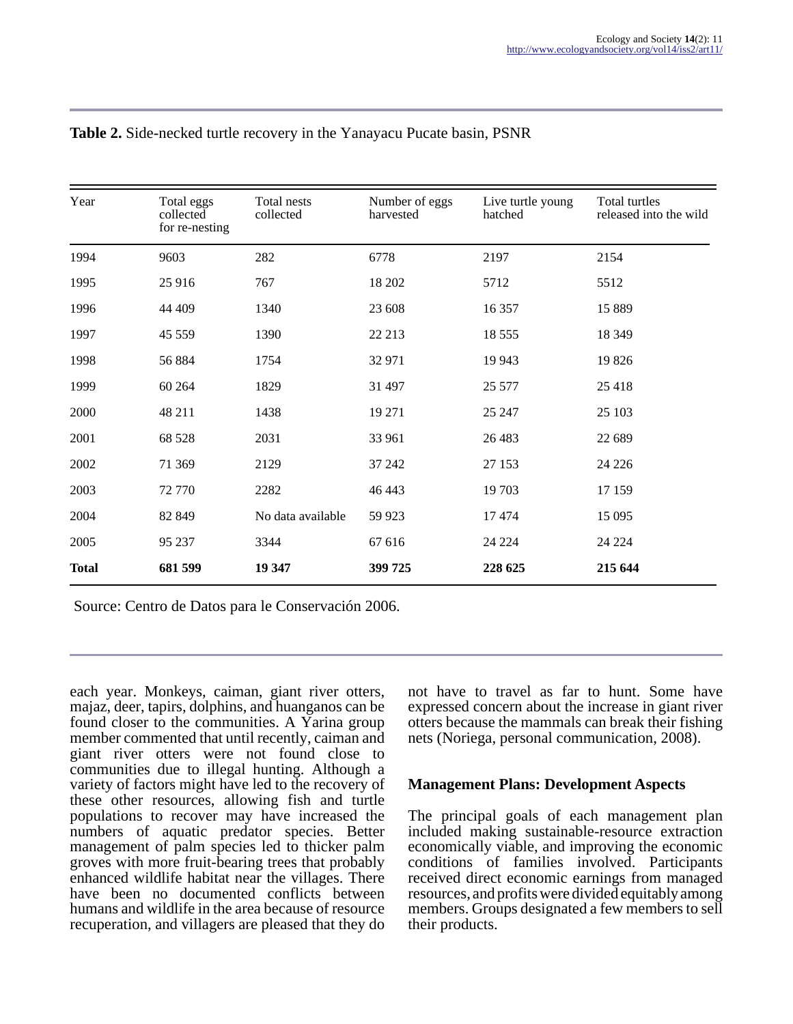| Year         | Total eggs<br>collected<br>for re-nesting | Total nests<br>collected | Number of eggs<br>harvested | Live turtle young<br>hatched | Total turtles<br>released into the wild |
|--------------|-------------------------------------------|--------------------------|-----------------------------|------------------------------|-----------------------------------------|
| 1994         | 9603                                      | 282                      | 6778                        | 2197                         | 2154                                    |
| 1995         | 25 916                                    | 767                      | 18 20 2                     | 5712                         | 5512                                    |
| 1996         | 44 409                                    | 1340                     | 23 608                      | 16 357                       | 15 8 89                                 |
| 1997         | 45 559                                    | 1390                     | 22 213                      | 18 5 5 5                     | 18 3 49                                 |
| 1998         | 56 884                                    | 1754                     | 32 971                      | 19 943                       | 19 8 26                                 |
| 1999         | 60 264                                    | 1829                     | 31 497                      | 25 577                       | 25 418                                  |
| 2000         | 48 211                                    | 1438                     | 19 27 1                     | 25 247                       | 25 103                                  |
| 2001         | 68 528                                    | 2031                     | 33 961                      | 26 4 83                      | 22 689                                  |
| 2002         | 71 369                                    | 2129                     | 37 24 2                     | 27 153                       | 24 2 26                                 |
| 2003         | 72 770                                    | 2282                     | 46 443                      | 19 703                       | 17 159                                  |
| 2004         | 82 849                                    | No data available        | 59 923                      | 17474                        | 15 0 95                                 |
| 2005         | 95 237                                    | 3344                     | 67 616                      | 24 224                       | 24 224                                  |
| <b>Total</b> | 681 599                                   | 19 347                   | 399 725                     | 228 625                      | 215 644                                 |

## **Table 2.** Side-necked turtle recovery in the Yanayacu Pucate basin, PSNR

Source: Centro de Datos para le Conservación 2006.

each year. Monkeys, caiman, giant river otters, majaz, deer, tapirs, dolphins, and huanganos can be found closer to the communities. A Yarina group member commented that until recently, caiman and giant river otters were not found close to communities due to illegal hunting. Although a variety of factors might have led to the recovery of these other resources, allowing fish and turtle populations to recover may have increased the numbers of aquatic predator species. Better management of palm species led to thicker palm groves with more fruit-bearing trees that probably enhanced wildlife habitat near the villages. There have been no documented conflicts between humans and wildlife in the area because of resource recuperation, and villagers are pleased that they do

not have to travel as far to hunt. Some have expressed concern about the increase in giant river otters because the mammals can break their fishing nets (Noriega, personal communication, 2008).

### **Management Plans: Development Aspects**

The principal goals of each management plan included making sustainable-resource extraction economically viable, and improving the economic conditions of families involved. Participants received direct economic earnings from managed resources, and profits were divided equitably among members. Groups designated a few members to sell their products.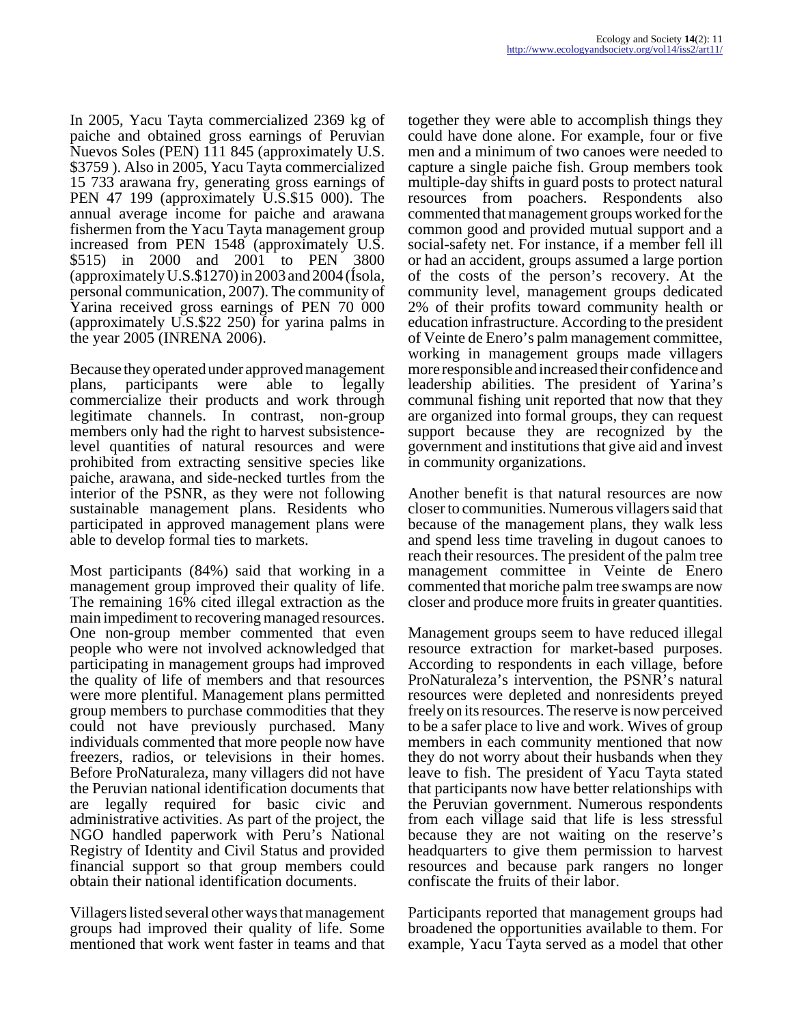In 2005, Yacu Tayta commercialized 2369 kg of paiche and obtained gross earnings of Peruvian Nuevos Soles (PEN) 111 845 (approximately U.S. \$3759 ). Also in 2005, Yacu Tayta commercialized 15 733 arawana fry, generating gross earnings of PEN 47 199 (approximately U.S.\$15 000). The annual average income for paiche and arawana fishermen from the Yacu Tayta management group increased from PEN 1548 (approximately U.S. \$515) in 2000 and 2001 to PEN 3800 (approximately U.S.\$1270) in 2003 and 2004 (Ísola, personal communication, 2007). The community of Yarina received gross earnings of PEN 70 000 (approximately U.S.\$22 250) for yarina palms in the year 2005 (INRENA 2006).

Because they operated under approved management plans, participants were able to legally commercialize their products and work through legitimate channels. In contrast, non-group members only had the right to harvest subsistencelevel quantities of natural resources and were prohibited from extracting sensitive species like paiche, arawana, and side-necked turtles from the interior of the PSNR, as they were not following sustainable management plans. Residents who participated in approved management plans were able to develop formal ties to markets.

Most participants (84%) said that working in a management group improved their quality of life. The remaining 16% cited illegal extraction as the main impediment to recovering managed resources. One non-group member commented that even people who were not involved acknowledged that participating in management groups had improved the quality of life of members and that resources were more plentiful. Management plans permitted group members to purchase commodities that they could not have previously purchased. Many individuals commented that more people now have freezers, radios, or televisions in their homes. Before ProNaturaleza, many villagers did not have the Peruvian national identification documents that are legally required for basic civic and administrative activities. As part of the project, the NGO handled paperwork with Peru's National Registry of Identity and Civil Status and provided financial support so that group members could obtain their national identification documents.

Villagers listed several other ways that management groups had improved their quality of life. Some mentioned that work went faster in teams and that

together they were able to accomplish things they could have done alone. For example, four or five men and a minimum of two canoes were needed to capture a single paiche fish. Group members took multiple-day shifts in guard posts to protect natural resources from poachers. Respondents also commented that management groups worked for the common good and provided mutual support and a social-safety net. For instance, if a member fell ill or had an accident, groups assumed a large portion of the costs of the person's recovery. At the community level, management groups dedicated 2% of their profits toward community health or education infrastructure. According to the president of Veinte de Enero's palm management committee, working in management groups made villagers more responsible and increased their confidence and leadership abilities. The president of Yarina's communal fishing unit reported that now that they are organized into formal groups, they can request support because they are recognized by the government and institutions that give aid and invest in community organizations.

Another benefit is that natural resources are now closer to communities. Numerous villagers said that because of the management plans, they walk less and spend less time traveling in dugout canoes to reach their resources. The president of the palm tree management committee in Veinte de Enero commented that moriche palm tree swamps are now closer and produce more fruits in greater quantities.

Management groups seem to have reduced illegal resource extraction for market-based purposes. According to respondents in each village, before ProNaturaleza's intervention, the PSNR's natural resources were depleted and nonresidents preyed freely on its resources. The reserve is now perceived to be a safer place to live and work. Wives of group members in each community mentioned that now they do not worry about their husbands when they leave to fish. The president of Yacu Tayta stated that participants now have better relationships with the Peruvian government. Numerous respondents from each village said that life is less stressful because they are not waiting on the reserve's headquarters to give them permission to harvest resources and because park rangers no longer confiscate the fruits of their labor.

Participants reported that management groups had broadened the opportunities available to them. For example, Yacu Tayta served as a model that other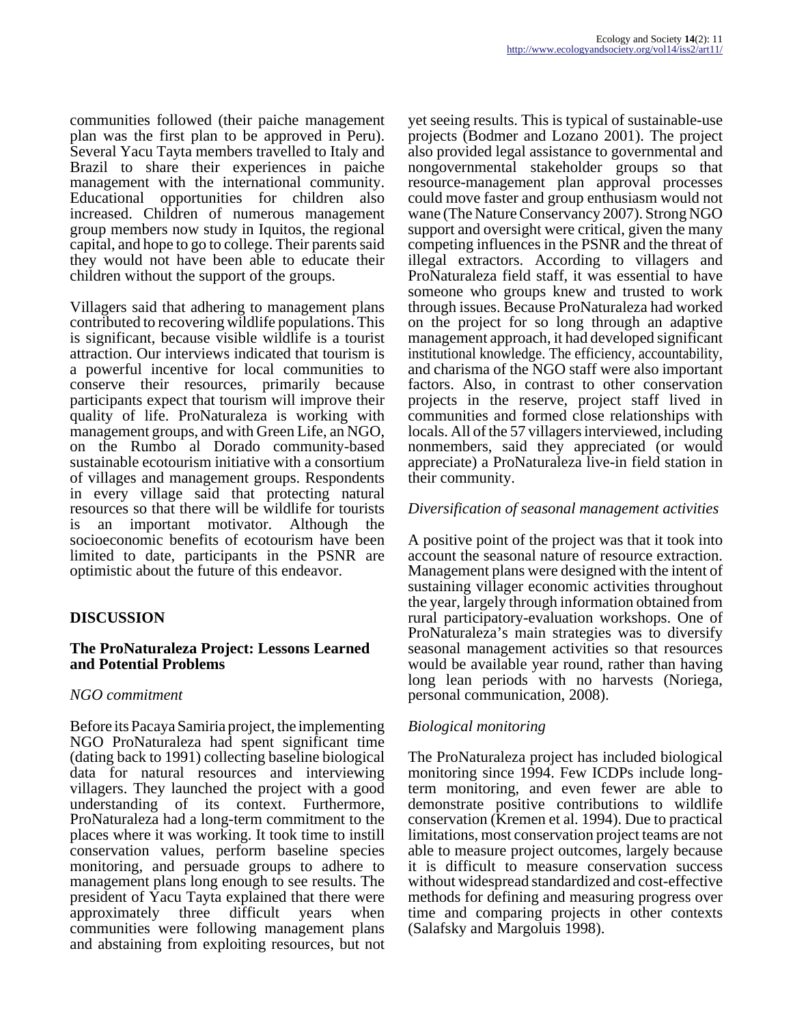communities followed (their paiche management plan was the first plan to be approved in Peru). Several Yacu Tayta members travelled to Italy and Brazil to share their experiences in paiche management with the international community. Educational opportunities for children also increased. Children of numerous management group members now study in Iquitos, the regional capital, and hope to go to college. Their parents said they would not have been able to educate their children without the support of the groups.

Villagers said that adhering to management plans contributed to recovering wildlife populations. This is significant, because visible wildlife is a tourist attraction. Our interviews indicated that tourism is a powerful incentive for local communities to conserve their resources, primarily because participants expect that tourism will improve their quality of life. ProNaturaleza is working with management groups, and with Green Life, an NGO, on the Rumbo al Dorado community-based sustainable ecotourism initiative with a consortium of villages and management groups. Respondents in every village said that protecting natural resources so that there will be wildlife for tourists is an important motivator. Although the socioeconomic benefits of ecotourism have been limited to date, participants in the PSNR are optimistic about the future of this endeavor.

# **DISCUSSION**

#### **The ProNaturaleza Project: Lessons Learned and Potential Problems**

### *NGO commitment*

Before its Pacaya Samiria project, the implementing NGO ProNaturaleza had spent significant time (dating back to 1991) collecting baseline biological data for natural resources and interviewing villagers. They launched the project with a good understanding of its context. Furthermore, ProNaturaleza had a long-term commitment to the places where it was working. It took time to instill conservation values, perform baseline species monitoring, and persuade groups to adhere to management plans long enough to see results. The president of Yacu Tayta explained that there were approximately three difficult years when communities were following management plans and abstaining from exploiting resources, but not

yet seeing results. This is typical of sustainable-use projects (Bodmer and Lozano 2001). The project also provided legal assistance to governmental and nongovernmental stakeholder groups so that resource-management plan approval processes could move faster and group enthusiasm would not wane (The Nature Conservancy 2007). Strong NGO support and oversight were critical, given the many competing influences in the PSNR and the threat of illegal extractors. According to villagers and ProNaturaleza field staff, it was essential to have someone who groups knew and trusted to work through issues. Because ProNaturaleza had worked on the project for so long through an adaptive management approach, it had developed significant institutional knowledge. The efficiency, accountability, and charisma of the NGO staff were also important factors. Also, in contrast to other conservation projects in the reserve, project staff lived in communities and formed close relationships with locals. All of the 57 villagers interviewed, including nonmembers, said they appreciated (or would appreciate) a ProNaturaleza live-in field station in their community.

#### *Diversification of seasonal management activities*

A positive point of the project was that it took into account the seasonal nature of resource extraction. Management plans were designed with the intent of sustaining villager economic activities throughout the year, largely through information obtained from rural participatory-evaluation workshops. One of ProNaturaleza's main strategies was to diversify seasonal management activities so that resources would be available year round, rather than having long lean periods with no harvests (Noriega, personal communication, 2008).

### *Biological monitoring*

The ProNaturaleza project has included biological monitoring since 1994. Few ICDPs include longterm monitoring, and even fewer are able to demonstrate positive contributions to wildlife conservation (Kremen et al. 1994). Due to practical limitations, most conservation project teams are not able to measure project outcomes, largely because it is difficult to measure conservation success without widespread standardized and cost-effective methods for defining and measuring progress over time and comparing projects in other contexts (Salafsky and Margoluis 1998).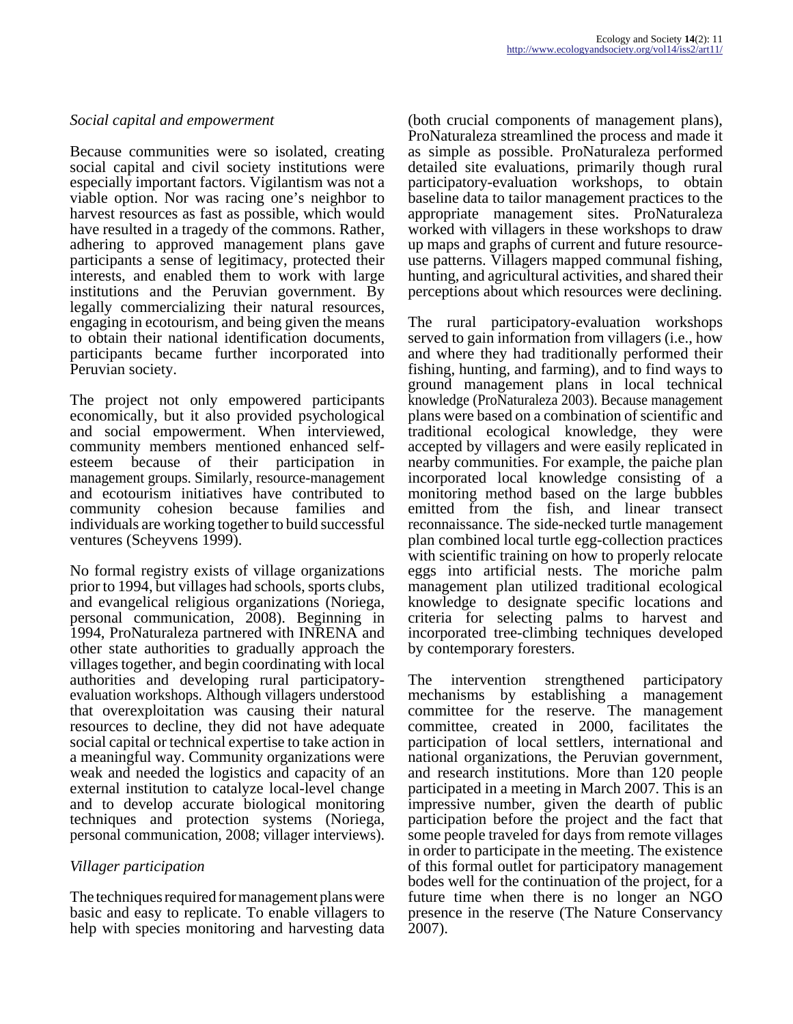#### *Social capital and empowerment*

Because communities were so isolated, creating social capital and civil society institutions were especially important factors. Vigilantism was not a viable option. Nor was racing one's neighbor to harvest resources as fast as possible, which would have resulted in a tragedy of the commons. Rather, adhering to approved management plans gave participants a sense of legitimacy, protected their interests, and enabled them to work with large institutions and the Peruvian government. By legally commercializing their natural resources, engaging in ecotourism, and being given the means to obtain their national identification documents, participants became further incorporated into Peruvian society.

The project not only empowered participants economically, but it also provided psychological and social empowerment. When interviewed, community members mentioned enhanced selfesteem because of their participation in management groups. Similarly, resource-management and ecotourism initiatives have contributed to community cohesion because families and individuals are working together to build successful ventures (Scheyvens 1999).

No formal registry exists of village organizations prior to 1994, but villages had schools, sports clubs, and evangelical religious organizations (Noriega, personal communication, 2008). Beginning in 1994, ProNaturaleza partnered with INRENA and other state authorities to gradually approach the villages together, and begin coordinating with local authorities and developing rural participatoryevaluation workshops. Although villagers understood that overexploitation was causing their natural resources to decline, they did not have adequate social capital or technical expertise to take action in a meaningful way. Community organizations were weak and needed the logistics and capacity of an external institution to catalyze local-level change and to develop accurate biological monitoring techniques and protection systems (Noriega, personal communication, 2008; villager interviews).

### *Villager participation*

The techniques required for management plans were basic and easy to replicate. To enable villagers to help with species monitoring and harvesting data (both crucial components of management plans), ProNaturaleza streamlined the process and made it as simple as possible. ProNaturaleza performed detailed site evaluations, primarily though rural participatory-evaluation workshops, to obtain baseline data to tailor management practices to the appropriate management sites. ProNaturaleza worked with villagers in these workshops to draw up maps and graphs of current and future resourceuse patterns. Villagers mapped communal fishing, hunting, and agricultural activities, and shared their perceptions about which resources were declining.

The rural participatory-evaluation workshops served to gain information from villagers (i.e., how and where they had traditionally performed their fishing, hunting, and farming), and to find ways to ground management plans in local technical knowledge (ProNaturaleza 2003). Because management plans were based on a combination of scientific and traditional ecological knowledge, they were accepted by villagers and were easily replicated in nearby communities. For example, the paiche plan incorporated local knowledge consisting of a monitoring method based on the large bubbles emitted from the fish, and linear transect reconnaissance. The side-necked turtle management plan combined local turtle egg-collection practices with scientific training on how to properly relocate eggs into artificial nests. The moriche palm management plan utilized traditional ecological knowledge to designate specific locations and criteria for selecting palms to harvest and incorporated tree-climbing techniques developed by contemporary foresters.

The intervention strengthened participatory mechanisms by establishing a management committee for the reserve. The management committee, created in 2000, facilitates the participation of local settlers, international and national organizations, the Peruvian government, and research institutions. More than 120 people participated in a meeting in March 2007. This is an impressive number, given the dearth of public participation before the project and the fact that some people traveled for days from remote villages in order to participate in the meeting. The existence of this formal outlet for participatory management bodes well for the continuation of the project, for a future time when there is no longer an NGO presence in the reserve (The Nature Conservancy 2007).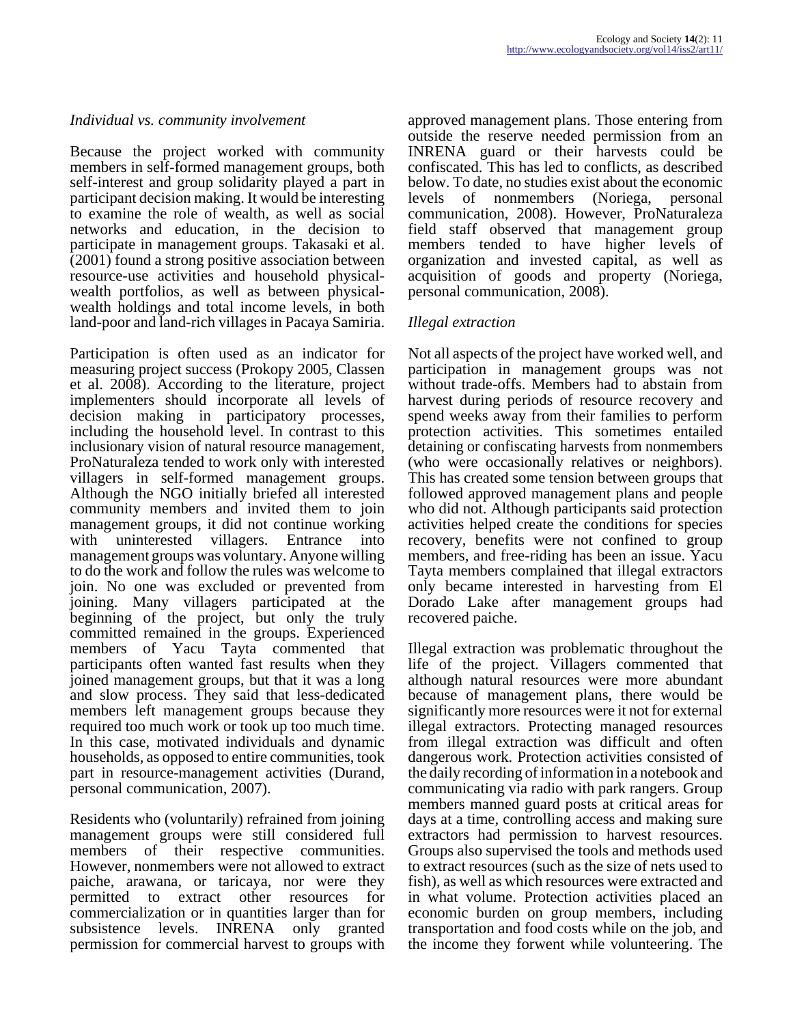#### *Individual vs. community involvement*

Because the project worked with community members in self-formed management groups, both self-interest and group solidarity played a part in participant decision making. It would be interesting to examine the role of wealth, as well as social networks and education, in the decision to participate in management groups. Takasaki et al. (2001) found a strong positive association between resource-use activities and household physicalwealth portfolios, as well as between physicalwealth holdings and total income levels, in both land-poor and land-rich villages in Pacaya Samiria.

Participation is often used as an indicator for measuring project success (Prokopy 2005, Classen et al. 2008). According to the literature, project implementers should incorporate all levels of decision making in participatory processes, including the household level. In contrast to this inclusionary vision of natural resource management, ProNaturaleza tended to work only with interested villagers in self-formed management groups. Although the NGO initially briefed all interested community members and invited them to join management groups, it did not continue working with uninterested villagers. Entrance into management groups was voluntary. Anyone willing to do the work and follow the rules was welcome to join. No one was excluded or prevented from joining. Many villagers participated at the beginning of the project, but only the truly committed remained in the groups. Experienced members of Yacu Tayta commented that participants often wanted fast results when they joined management groups, but that it was a long and slow process. They said that less-dedicated members left management groups because they required too much work or took up too much time. In this case, motivated individuals and dynamic households, as opposed to entire communities, took part in resource-management activities (Durand, personal communication, 2007).

Residents who (voluntarily) refrained from joining management groups were still considered full members of their respective communities. However, nonmembers were not allowed to extract paiche, arawana, or taricaya, nor were they permitted to extract other resources for commercialization or in quantities larger than for subsistence levels. INRENA only granted permission for commercial harvest to groups with

approved management plans. Those entering from outside the reserve needed permission from an INRENA guard or their harvests could be confiscated. This has led to conflicts, as described below. To date, no studies exist about the economic levels of nonmembers (Noriega, personal communication, 2008). However, ProNaturaleza field staff observed that management group members tended to have higher levels of organization and invested capital, as well as acquisition of goods and property (Noriega, personal communication, 2008).

### *Illegal extraction*

Not all aspects of the project have worked well, and participation in management groups was not without trade-offs. Members had to abstain from harvest during periods of resource recovery and spend weeks away from their families to perform protection activities. This sometimes entailed detaining or confiscating harvests from nonmembers (who were occasionally relatives or neighbors). This has created some tension between groups that followed approved management plans and people who did not. Although participants said protection activities helped create the conditions for species recovery, benefits were not confined to group members, and free-riding has been an issue. Yacu Tayta members complained that illegal extractors only became interested in harvesting from El Dorado Lake after management groups had recovered paiche.

Illegal extraction was problematic throughout the life of the project. Villagers commented that although natural resources were more abundant because of management plans, there would be significantly more resources were it not for external illegal extractors. Protecting managed resources from illegal extraction was difficult and often dangerous work. Protection activities consisted of the daily recording of information in a notebook and communicating via radio with park rangers. Group members manned guard posts at critical areas for days at a time, controlling access and making sure extractors had permission to harvest resources. Groups also supervised the tools and methods used to extract resources (such as the size of nets used to fish), as well as which resources were extracted and in what volume. Protection activities placed an economic burden on group members, including transportation and food costs while on the job, and the income they forwent while volunteering. The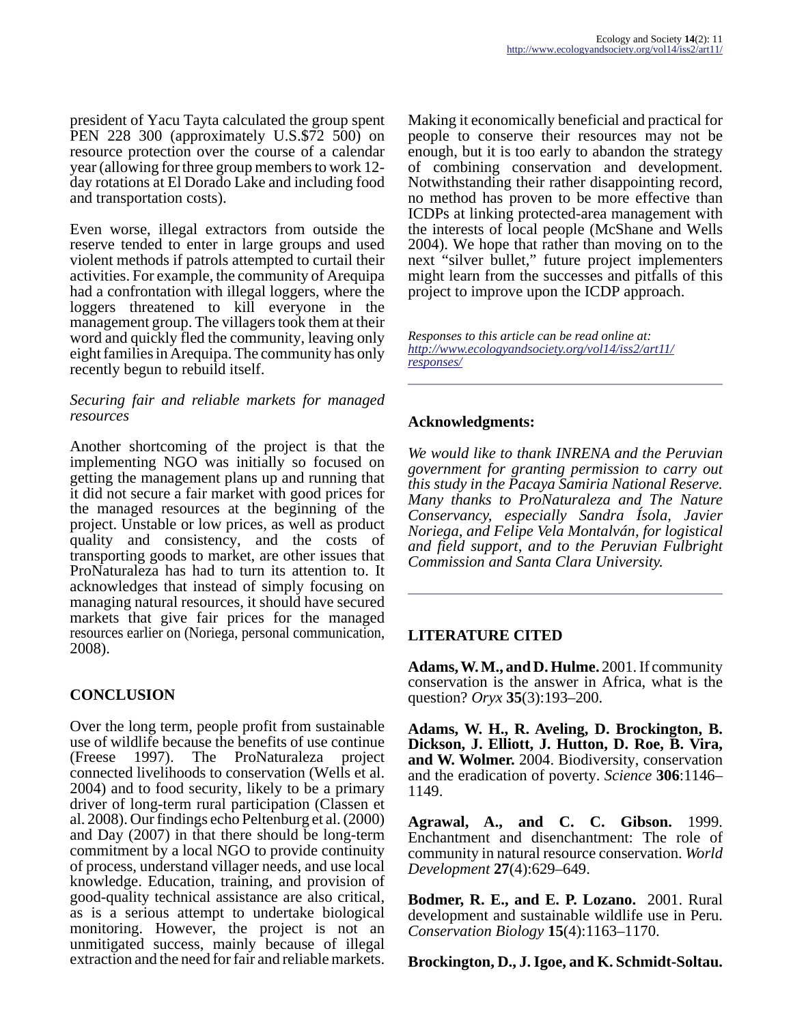president of Yacu Tayta calculated the group spent PEN 228 300 (approximately U.S.\$72 500) on resource protection over the course of a calendar year (allowing for three group members to work 12 day rotations at El Dorado Lake and including food and transportation costs).

Even worse, illegal extractors from outside the reserve tended to enter in large groups and used violent methods if patrols attempted to curtail their activities. For example, the community of Arequipa had a confrontation with illegal loggers, where the loggers threatened to kill everyone in the management group. The villagers took them at their word and quickly fled the community, leaving only eight families in Arequipa. The community has only recently begun to rebuild itself.

#### *Securing fair and reliable markets for managed resources*

Another shortcoming of the project is that the implementing NGO was initially so focused on getting the management plans up and running that it did not secure a fair market with good prices for the managed resources at the beginning of the project. Unstable or low prices, as well as product quality and consistency, and the costs of transporting goods to market, are other issues that ProNaturaleza has had to turn its attention to. It acknowledges that instead of simply focusing on managing natural resources, it should have secured markets that give fair prices for the managed resources earlier on (Noriega, personal communication, 2008).

# **CONCLUSION**

Over the long term, people profit from sustainable use of wildlife because the benefits of use continue (Freese 1997). The ProNaturaleza project connected livelihoods to conservation (Wells et al. 2004) and to food security, likely to be a primary driver of long-term rural participation (Classen et al. 2008). Our findings echo Peltenburg et al. (2000) and Day (2007) in that there should be long-term commitment by a local NGO to provide continuity of process, understand villager needs, and use local knowledge. Education, training, and provision of good-quality technical assistance are also critical, as is a serious attempt to undertake biological monitoring. However, the project is not an unmitigated success, mainly because of illegal extraction and the need for fair and reliable markets.

Making it economically beneficial and practical for people to conserve their resources may not be enough, but it is too early to abandon the strategy of combining conservation and development. Notwithstanding their rather disappointing record, no method has proven to be more effective than ICDPs at linking protected-area management with the interests of local people (McShane and Wells 2004). We hope that rather than moving on to the next "silver bullet," future project implementers might learn from the successes and pitfalls of this project to improve upon the ICDP approach.

*Responses to this article can be read online at: [http://www](http://www.ecologyandsociety.org/vol14/iss2/art11/responses/).ecologyandsociety.org/vol14/iss2/art11/ responses/*

## **Acknowledgments:**

*We would like to thank INRENA and the Peruvian government for granting permission to carry out this study in the Pacaya Samiria National Reserve. Many thanks to ProNaturaleza and The Nature Conservancy, especially Sandra Ísola, Javier Noriega, and Felipe Vela Montalván, for logistical and field support, and to the Peruvian Fulbright Commission and Santa Clara University.* 

# **LITERATURE CITED**

**Adams, W. M., and D. Hulme.** 2001. If community conservation is the answer in Africa, what is the question? *Oryx* **35**(3):193–200.

**Adams, W. H., R. Aveling, D. Brockington, B. Dickson, J. Elliott, J. Hutton, D. Roe, B. Vira, and W. Wolmer.** 2004. Biodiversity, conservation and the eradication of poverty. *Science* **306**:1146– 1149.

**Agrawal, A., and C. C. Gibson.** 1999. Enchantment and disenchantment: The role of community in natural resource conservation. *World Development* **27**(4):629–649.

**Bodmer, R. E., and E. P. Lozano.** 2001. Rural development and sustainable wildlife use in Peru. *Conservation Biology* **15**(4):1163–1170.

**Brockington, D., J. Igoe, and K. Schmidt-Soltau.**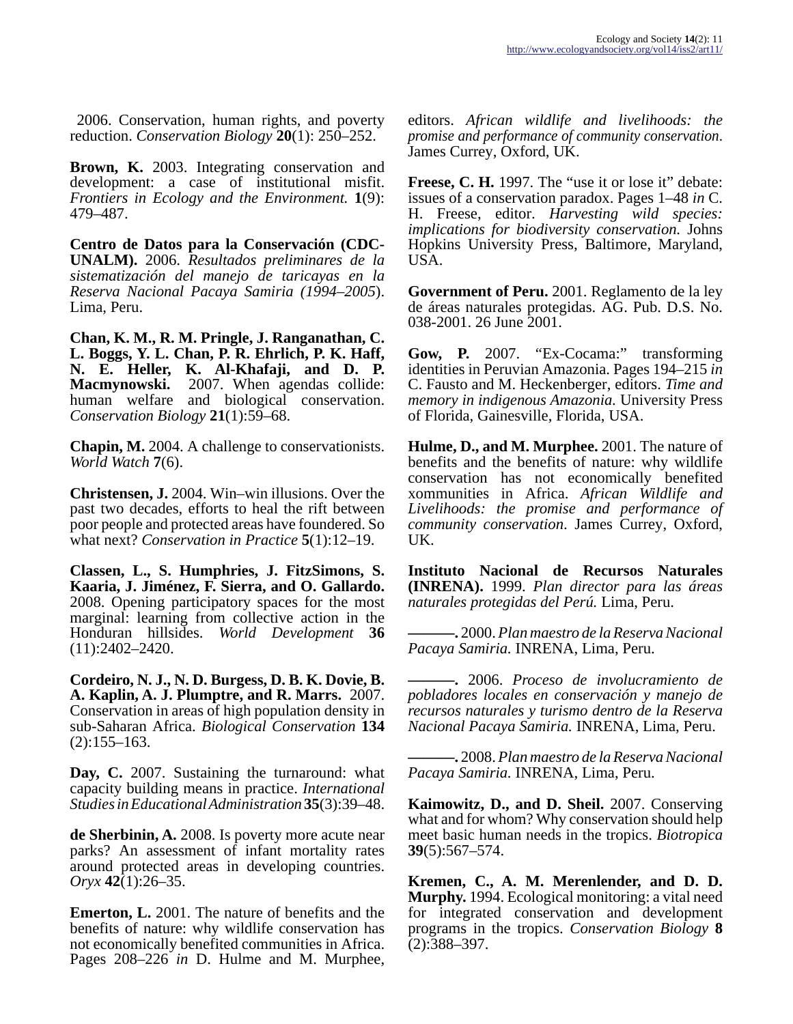2006. Conservation, human rights, and poverty reduction. *Conservation Biology* **20**(1): 250–252.

**Brown, K.** 2003. Integrating conservation and development: a case of institutional misfit. *Frontiers in Ecology and the Environment.* **1**(9): 479–487.

**Centro de Datos para la Conservación (CDC-UNALM).** 2006. *Resultados preliminares de la sistematización del manejo de taricayas en la Reserva Nacional Pacaya Samiria (1994–2005*). Lima, Peru.

**Chan, K. M., R. M. Pringle, J. Ranganathan, C. L. Boggs, Y. L. Chan, P. R. Ehrlich, P. K. Haff, N. E. Heller, K. Al-Khafaji, and D. P. Macmynowski.** 2007. When agendas collide: human welfare and biological conservation. *Conservation Biology* **21**(1):59–68.

**Chapin, M.** 2004. A challenge to conservationists. *World Watch* **7**(6).

**Christensen, J.** 2004. Win–win illusions. Over the past two decades, efforts to heal the rift between poor people and protected areas have foundered. So what next? *Conservation in Practice* **5**(1):12–19.

**Classen, L., S. Humphries, J. FitzSimons, S. Kaaria, J. Jiménez, F. Sierra, and O. Gallardo.** 2008. Opening participatory spaces for the most marginal: learning from collective action in the Honduran hillsides. *World Development* **36** (11):2402–2420.

**Cordeiro, N. J., N. D. Burgess, D. B. K. Dovie, B. A. Kaplin, A. J. Plumptre, and R. Marrs.** 2007. Conservation in areas of high population density in sub-Saharan Africa. *Biological Conservation* **134**  $(2):155-163.$ 

**Day, C.** 2007. Sustaining the turnaround: what capacity building means in practice. *International Studies in Educational Administration* **35**(3):39–48.

**de Sherbinin, A.** 2008. Is poverty more acute near parks? An assessment of infant mortality rates around protected areas in developing countries. *Oryx* **42**(1):26–35.

**Emerton, L.** 2001. The nature of benefits and the benefits of nature: why wildlife conservation has not economically benefited communities in Africa. Pages 208–226 *in* D. Hulme and M. Murphee,

editors. *African wildlife and livelihoods: the promise and performance of community conservation*. James Currey, Oxford, UK.

Freese, C. H. 1997. The "use it or lose it" debate: issues of a conservation paradox. Pages 1–48 *in* C. H. Freese, editor. *Harvesting wild species: implications for biodiversity conservation.* Johns Hopkins University Press, Baltimore, Maryland, USA.

**Government of Peru.** 2001. Reglamento de la ley de áreas naturales protegidas. AG. Pub. D.S. No. 038-2001. 26 June 2001.

**Gow, P.** 2007. "Ex-Cocama:" transforming identities in Peruvian Amazonia. Pages 194–215 *in* C. Fausto and M. Heckenberger, editors. *Time and memory in indigenous Amazonia.* University Press of Florida, Gainesville, Florida, USA.

**Hulme, D., and M. Murphee.** 2001. The nature of benefits and the benefits of nature: why wildlife conservation has not economically benefited xommunities in Africa. *African Wildlife and Livelihoods: the promise and performance of community conservation*. James Currey, Oxford, UK.

**Instituto Nacional de Recursos Naturales (INRENA).** 1999. *Plan director para las áreas naturales protegidas del Perú.* Lima, Peru.

**———.** 2000. *Plan maestro de la Reserva Nacional Pacaya Samiria.* INRENA, Lima, Peru.

**———.** 2006. *Proceso de involucramiento de pobladores locales en conservación y manejo de recursos naturales y turismo dentro de la Reserva Nacional Pacaya Samiria.* INRENA, Lima, Peru.

**———.** 2008. *Plan maestro de la Reserva Nacional Pacaya Samiria.* INRENA, Lima, Peru.

**Kaimowitz, D., and D. Sheil.** 2007. Conserving what and for whom? Why conservation should help meet basic human needs in the tropics. *Biotropica* **39**(5):567–574.

**Kremen, C., A. M. Merenlender, and D. D. Murphy.** 1994. Ecological monitoring: a vital need for integrated conservation and development programs in the tropics. *Conservation Biology* **8** (2):388–397.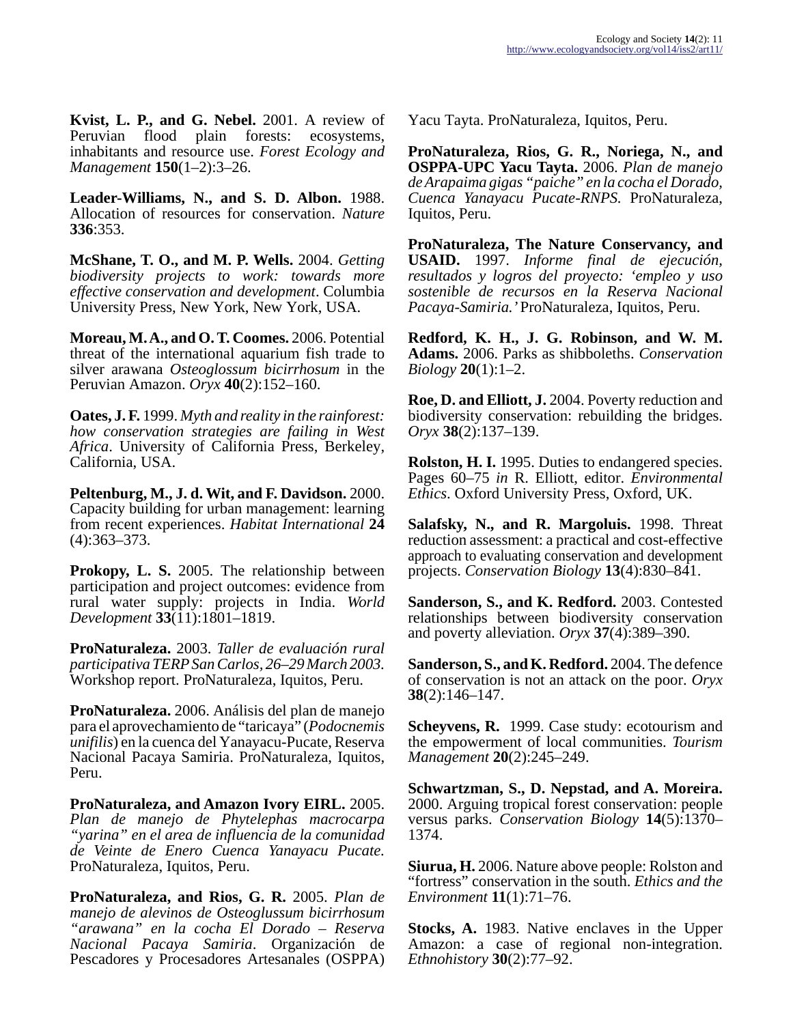**Kvist, L. P., and G. Nebel.** 2001. A review of Peruvian flood plain forests: ecosystems, inhabitants and resource use. *Forest Ecology and Management* **150**(1–2):3–26.

**Leader-Williams, N., and S. D. Albon.** 1988. Allocation of resources for conservation. *Nature* **336**:353.

**McShane, T. O., and M. P. Wells.** 2004. *Getting biodiversity projects to work: towards more effective conservation and development*. Columbia University Press, New York, New York, USA.

**Moreau, M. A., and O. T. Coomes.** 2006. Potential threat of the international aquarium fish trade to silver arawana *Osteoglossum bicirrhosum* in the Peruvian Amazon. *Oryx* **40**(2):152–160.

**Oates, J. F.** 1999. *Myth and reality in the rainforest: how conservation strategies are failing in West Africa*. University of California Press, Berkeley, California, USA.

**Peltenburg, M., J. d. Wit, and F. Davidson.** 2000. Capacity building for urban management: learning from recent experiences. *Habitat International* **24** (4):363–373.

**Prokopy, L. S.** 2005. The relationship between participation and project outcomes: evidence from rural water supply: projects in India. *World Development* **33**(11):1801–1819.

**ProNaturaleza.** 2003. *Taller de evaluación rural participativa TERP San Carlos, 26–29 March 2003.* Workshop report. ProNaturaleza, Iquitos, Peru.

**ProNaturaleza.** 2006. Análisis del plan de manejo para el aprovechamiento de "taricaya" (*Podocnemis unifilis*) en la cuenca del Yanayacu-Pucate, Reserva Nacional Pacaya Samiria. ProNaturaleza, Iquitos, Peru.

**ProNaturaleza, and Amazon Ivory EIRL.** 2005. *Plan de manejo de Phytelephas macrocarpa "yarina" en el area de influencia de la comunidad de Veinte de Enero Cuenca Yanayacu Pucate.* ProNaturaleza, Iquitos, Peru.

**ProNaturaleza, and Rios, G. R.** 2005. *Plan de manejo de alevinos de Osteoglussum bicirrhosum "arawana" en la cocha El Dorado – Reserva Nacional Pacaya Samiria*. Organización de Pescadores y Procesadores Artesanales (OSPPA) Yacu Tayta. ProNaturaleza, Iquitos, Peru.

**ProNaturaleza, Rios, G. R., Noriega, N., and OSPPA-UPC Yacu Tayta.** 2006. *Plan de manejo de Arapaima gigas "paiche" en la cocha el Dorado, Cuenca Yanayacu Pucate-RNPS.* ProNaturaleza, Iquitos, Peru.

**ProNaturaleza, The Nature Conservancy, and USAID.** 1997. *Informe final de ejecución, resultados y logros del proyecto: 'empleo y uso sostenible de recursos en la Reserva Nacional Pacaya-Samiria.'* ProNaturaleza, Iquitos, Peru.

**Redford, K. H., J. G. Robinson, and W. M. Adams.** 2006. Parks as shibboleths. *Conservation Biology* **20**(1):1–2.

**Roe, D. and Elliott, J.** 2004. Poverty reduction and biodiversity conservation: rebuilding the bridges. *Oryx* **38**(2):137–139.

**Rolston, H. I.** 1995. Duties to endangered species. Pages 60–75 *in* R. Elliott, editor. *Environmental Ethics*. Oxford University Press, Oxford, UK.

**Salafsky, N., and R. Margoluis.** 1998. Threat reduction assessment: a practical and cost-effective approach to evaluating conservation and development projects. *Conservation Biology* **13**(4):830–841.

**Sanderson, S., and K. Redford.** 2003. Contested relationships between biodiversity conservation and poverty alleviation. *Oryx* **37**(4):389–390.

**Sanderson, S., and K. Redford.** 2004. The defence of conservation is not an attack on the poor. *Oryx* **38**(2):146–147.

**Scheyvens, R.** 1999. Case study: ecotourism and the empowerment of local communities. *Tourism Management* **20**(2):245–249.

**Schwartzman, S., D. Nepstad, and A. Moreira.** 2000. Arguing tropical forest conservation: people versus parks. *Conservation Biology* **14**(5):1370– 1374.

**Siurua, H.** 2006. Nature above people: Rolston and "fortress" conservation in the south. *Ethics and the Environment* **11**(1):71–76.

**Stocks, A.** 1983. Native enclaves in the Upper Amazon: a case of regional non-integration. *Ethnohistory* **30**(2):77–92.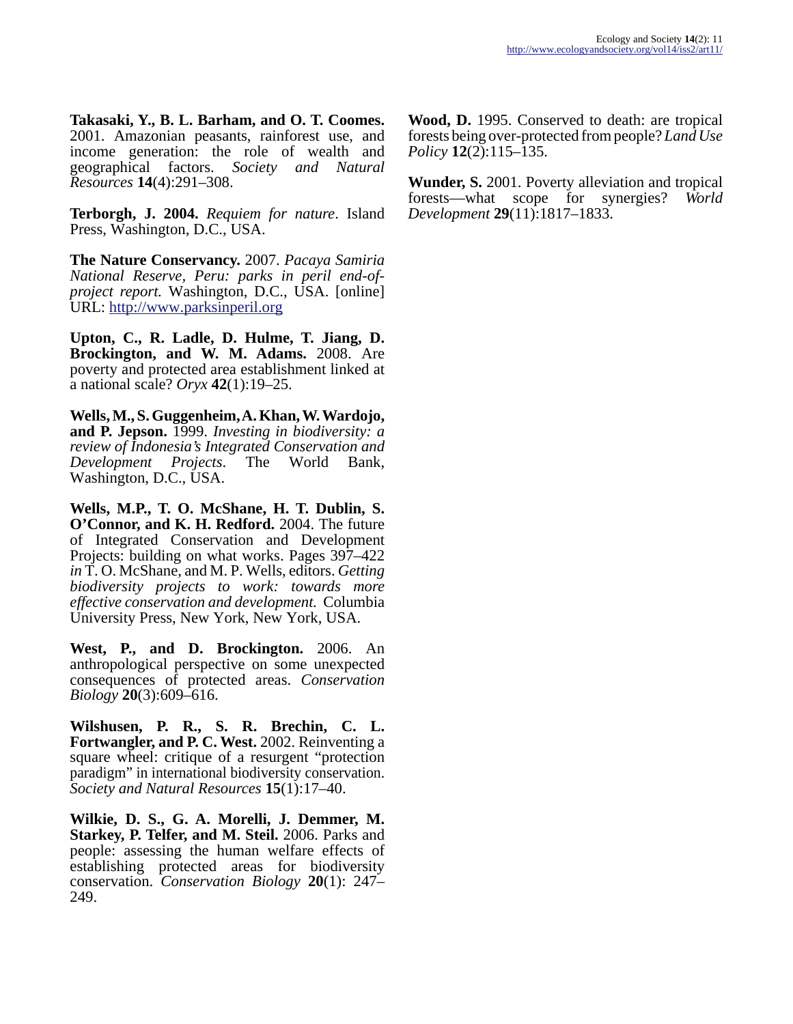**Takasaki, Y., B. L. Barham, and O. T. Coomes.** 2001. Amazonian peasants, rainforest use, and income generation: the role of wealth and geographical factors. *Society and Natural Resources* **14**(4):291–308.

**Terborgh, J. 2004.** *Requiem for nature*. Island Press, Washington, D.C., USA.

**The Nature Conservancy.** 2007. *Pacaya Samiria National Reserve, Peru: parks in peril end-ofproject report.* Washington, D.C., USA. [online] URL:<http://www.parksinperil.org>

**Upton, C., R. Ladle, D. Hulme, T. Jiang, D. Brockington, and W. M. Adams.** 2008. Are poverty and protected area establishment linked at a national scale? *Oryx* **42**(1):19–25.

**Wells, M., S. Guggenheim, A. Khan, W. Wardojo, and P. Jepson.** 1999. *Investing in biodiversity: a review of Indonesia's Integrated Conservation and Development Projects*. The World Bank, Washington, D.C., USA.

**Wells, M.P., T. O. McShane, H. T. Dublin, S. O'Connor, and K. H. Redford.** 2004. The future of Integrated Conservation and Development Projects: building on what works. Pages 397–422 *in* T. O. McShane, and M. P. Wells, editors. *Getting biodiversity projects to work: towards more effective conservation and development.* Columbia University Press, New York, New York, USA.

**West, P., and D. Brockington.** 2006. An anthropological perspective on some unexpected consequences of protected areas. *Conservation Biology* **20**(3):609–616.

**Wilshusen, P. R., S. R. Brechin, C. L. Fortwangler, and P. C. West.** 2002. Reinventing a square wheel: critique of a resurgent "protection paradigm" in international biodiversity conservation. *Society and Natural Resources* **15**(1):17–40.

**Wilkie, D. S., G. A. Morelli, J. Demmer, M. Starkey, P. Telfer, and M. Steil.** 2006. Parks and people: assessing the human welfare effects of establishing protected areas for biodiversity conservation. *Conservation Biology* **20**(1): 247– 249.

**Wood, D.** 1995. Conserved to death: are tropical forests being over-protected from people? *Land Use Policy* **12**(2):115–135.

**Wunder, S.** 2001. Poverty alleviation and tropical forests—what scope for synergies? *World Development* **29**(11):1817–1833.